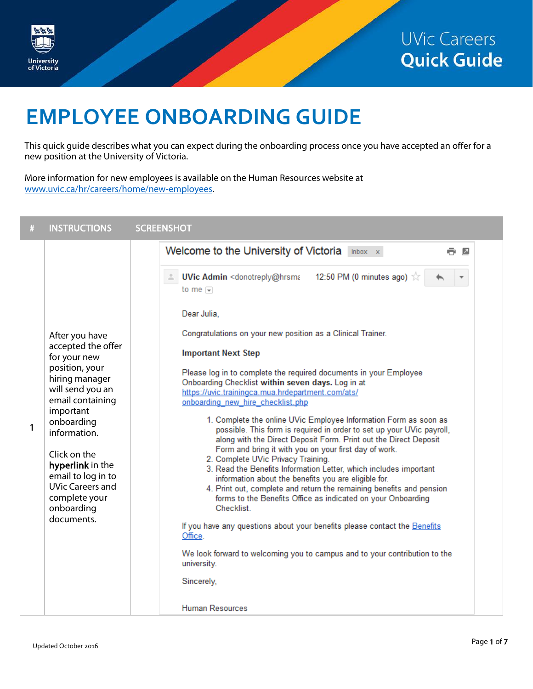

## **EMPLOYEE ONBOARDING GUIDE**

This quick guide describes what you can expect during the onboarding process once you have accepted an offer for a new position at the University of Victoria.

More information for new employees is available on the Human Resources website at [www.uvic.ca/hr/careers/home/new-employees.](http://www.uvic.ca/hr/careers/home/new-employees)

| # | <b>INSTRUCTIONS</b>                                                                                                                                                                                                                                                                                           | <b>SCREENSHOT</b>                                                                                                                                                                                                                                                                                                                                                                                                                                                                                                                                                                                                                                                                                                                                                                                                                                                                                                                                                                                                                                                                                                                                                                                                                                                                                                                                                                                                  |
|---|---------------------------------------------------------------------------------------------------------------------------------------------------------------------------------------------------------------------------------------------------------------------------------------------------------------|--------------------------------------------------------------------------------------------------------------------------------------------------------------------------------------------------------------------------------------------------------------------------------------------------------------------------------------------------------------------------------------------------------------------------------------------------------------------------------------------------------------------------------------------------------------------------------------------------------------------------------------------------------------------------------------------------------------------------------------------------------------------------------------------------------------------------------------------------------------------------------------------------------------------------------------------------------------------------------------------------------------------------------------------------------------------------------------------------------------------------------------------------------------------------------------------------------------------------------------------------------------------------------------------------------------------------------------------------------------------------------------------------------------------|
| 1 | After you have<br>accepted the offer<br>for your new<br>position, your<br>hiring manager<br>will send you an<br>email containing<br>important<br>onboarding<br>information.<br>Click on the<br>hyperlink in the<br>email to log in to<br><b>UVic Careers and</b><br>complete your<br>onboarding<br>documents. | Welcome to the University of Victoria Inbox x<br>ē<br>$\overline{z}$<br>12:50 PM (0 minutes ago) $\sqrt{2}$<br><b>UVic Admin</b> <donotreply@hrsma<br>to me <math>\vert \mathbf{v} \vert</math><br/>Dear Julia,<br/>Congratulations on your new position as a Clinical Trainer.<br/><b>Important Next Step</b><br/>Please log in to complete the required documents in your Employee<br/>Onboarding Checklist within seven days. Log in at<br/>https://uvic.trainingca.mua.hrdepartment.com/ats/<br/>onboarding new hire checklist.php<br/>1. Complete the online UVic Employee Information Form as soon as<br/>possible. This form is required in order to set up your UVic payroll,<br/>along with the Direct Deposit Form. Print out the Direct Deposit<br/>Form and bring it with you on your first day of work.<br/>2. Complete UVic Privacy Training.<br/>3. Read the Benefits Information Letter, which includes important<br/>information about the benefits you are eligible for.<br/>4. Print out, complete and return the remaining benefits and pension<br/>forms to the Benefits Office as indicated on your Onboarding<br/><b>Checklist</b><br/>If you have any questions about your benefits please contact the Benefits<br/>Office.<br/>We look forward to welcoming you to campus and to your contribution to the<br/>university.<br/>Sincerely,<br/><b>Human Resources</b></donotreply@hrsma<br> |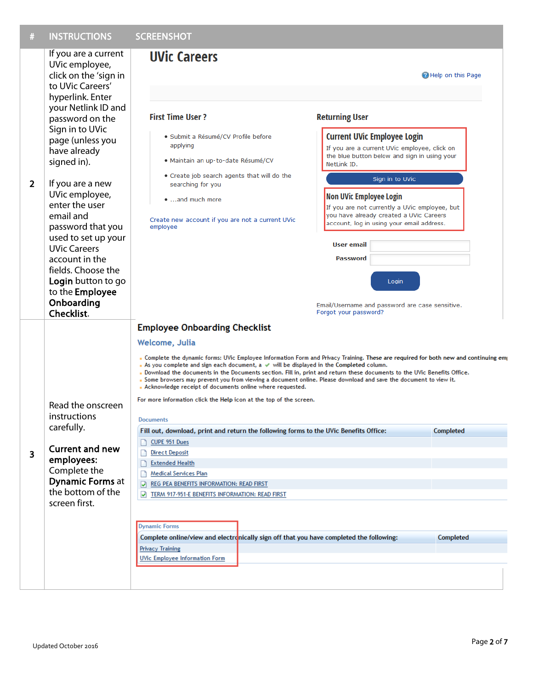| <b>INSTRUCTIONS</b>                                                                                                                                                                                                                                                                                                                                                                                                                                                                 | <b>SCREENSHOT</b>                                                                                                                                                                                                                                                                                                                                                                                                                                                                                                                                                                                                                                                                                                                                                                                                                                                                                                                                                                                                                                                                                                                                                                                                            |                                                                                                                                                                                                                                                                                                                                                                                                                                                                                                       |
|-------------------------------------------------------------------------------------------------------------------------------------------------------------------------------------------------------------------------------------------------------------------------------------------------------------------------------------------------------------------------------------------------------------------------------------------------------------------------------------|------------------------------------------------------------------------------------------------------------------------------------------------------------------------------------------------------------------------------------------------------------------------------------------------------------------------------------------------------------------------------------------------------------------------------------------------------------------------------------------------------------------------------------------------------------------------------------------------------------------------------------------------------------------------------------------------------------------------------------------------------------------------------------------------------------------------------------------------------------------------------------------------------------------------------------------------------------------------------------------------------------------------------------------------------------------------------------------------------------------------------------------------------------------------------------------------------------------------------|-------------------------------------------------------------------------------------------------------------------------------------------------------------------------------------------------------------------------------------------------------------------------------------------------------------------------------------------------------------------------------------------------------------------------------------------------------------------------------------------------------|
| If you are a current<br>UVic employee,<br>click on the 'sign in<br>to UVic Careers'<br>hyperlink. Enter<br>your Netlink ID and<br>password on the<br>Sign in to UVic<br>page (unless you<br>have already<br>signed in).<br>If you are a new<br>UVic employee,<br>enter the user<br>email and<br>password that you<br>used to set up your<br><b>UVic Careers</b><br>account in the<br>fields. Choose the<br>Login button to go<br>to the <b>Employee</b><br>Onboarding<br>Checklist. | <b>UVic Careers</b>                                                                                                                                                                                                                                                                                                                                                                                                                                                                                                                                                                                                                                                                                                                                                                                                                                                                                                                                                                                                                                                                                                                                                                                                          | Help on this Page                                                                                                                                                                                                                                                                                                                                                                                                                                                                                     |
|                                                                                                                                                                                                                                                                                                                                                                                                                                                                                     | · Submit a Résumé/CV Profile before<br>applying<br>· Maintain an up-to-date Résumé/CV<br>. Create job search agents that will do the<br>searching for you<br>and much more<br>Create new account if you are not a current UVic<br>employee                                                                                                                                                                                                                                                                                                                                                                                                                                                                                                                                                                                                                                                                                                                                                                                                                                                                                                                                                                                   | <b>Returning User</b><br><b>Current UVic Employee Login</b><br>If you are a current UVic employee, click on<br>the blue button below and sign in using your<br>NetLink ID.<br>Sign in to UVic<br><b>Non UVic Employee Login</b><br>If you are not currently a UVic employee, but<br>you have already created a UVic Careers<br>account, log in using your email address.<br><b>User email</b><br><b>Password</b><br>Login<br>Email/Username and password are case sensitive.<br>Forgot your password? |
| Read the onscreen<br>instructions<br>carefully.<br><b>Current and new</b><br>employees:<br>Complete the<br><b>Dynamic Forms at</b><br>the bottom of the<br>screen first.                                                                                                                                                                                                                                                                                                            | <b>Employee Onboarding Checklist</b><br>Welcome, Julia<br>. Complete the dynamic forms: UVic Employee Information Form and Privacy Training. These are required for both new and continuing empo<br>. As you complete and sign each document, $a \nless w$ will be displayed in the Completed column.<br>. Download the documents in the Documents section. Fill in, print and return these documents to the UVic Benefits Office.<br>. Some browsers may prevent you from viewing a document online. Please download and save the document to view it.<br>. Acknowledge receipt of documents online where requested.<br>For more information click the Help icon at the top of the screen.<br><b>Documents</b><br>Fill out, download, print and return the following forms to the UVic Benefits Office:<br>Completed<br>CUPE 951 Dues<br><b>Direct Deposit</b><br><b>Extended Health</b><br><b>Medical Services Plan</b><br>REG PEA BENEFITS INFORMATION: READ FIRST<br>TERM 917-951-E BENEFITS INFORMATION: READ FIRST<br><b>Dynamic Forms</b><br>Complete online/view and electronically sign off that you have completed the following:<br>Completed<br><b>Privacy Training</b><br><b>UVic Employee Information Form</b> |                                                                                                                                                                                                                                                                                                                                                                                                                                                                                                       |
|                                                                                                                                                                                                                                                                                                                                                                                                                                                                                     |                                                                                                                                                                                                                                                                                                                                                                                                                                                                                                                                                                                                                                                                                                                                                                                                                                                                                                                                                                                                                                                                                                                                                                                                                              | Page 2 of 7                                                                                                                                                                                                                                                                                                                                                                                                                                                                                           |
|                                                                                                                                                                                                                                                                                                                                                                                                                                                                                     | Updated October 2016                                                                                                                                                                                                                                                                                                                                                                                                                                                                                                                                                                                                                                                                                                                                                                                                                                                                                                                                                                                                                                                                                                                                                                                                         | <b>First Time User?</b>                                                                                                                                                                                                                                                                                                                                                                                                                                                                               |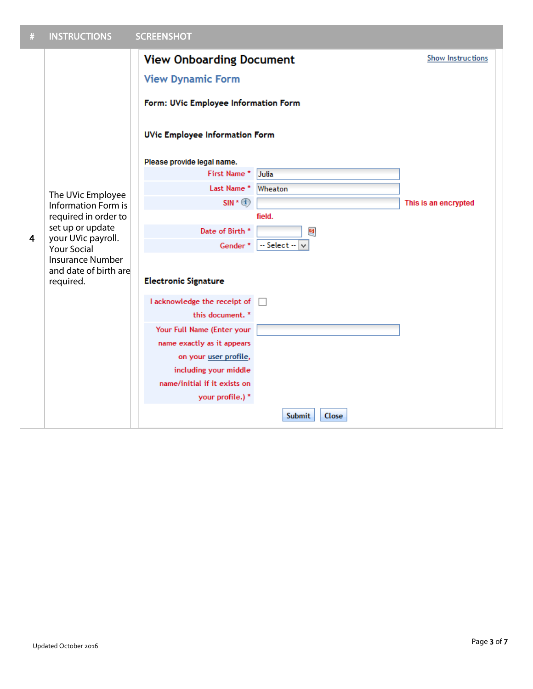| # | <b>INSTRUCTIONS</b>                                           | <b>SCREENSHOT</b>                                     |                    |                      |
|---|---------------------------------------------------------------|-------------------------------------------------------|--------------------|----------------------|
|   |                                                               | <b>View Onboarding Document</b>                       |                    | Show Instructions    |
|   |                                                               | <b>View Dynamic Form</b>                              |                    |                      |
|   |                                                               | Form: UVic Employee Information Form                  |                    |                      |
|   |                                                               | <b>UVic Employee Information Form</b>                 |                    |                      |
|   |                                                               | Please provide legal name.                            |                    |                      |
|   |                                                               | First Name*                                           | Julia              |                      |
|   | The UVic Employee                                             | Last Name*                                            | Wheaton            |                      |
|   | Information Form is                                           | $SIN * (i)$                                           |                    | This is an encrypted |
|   | required in order to                                          |                                                       | field.             |                      |
| 4 | set up or update<br>your UVic payroll.                        | Date of Birth *                                       | 回                  |                      |
|   | <b>Your Social</b>                                            | Gender*                                               | $-$ Select $ \vee$ |                      |
|   | <b>Insurance Number</b><br>and date of birth are<br>required. | <b>Electronic Signature</b>                           |                    |                      |
|   |                                                               | I acknowledge the receipt of                          |                    |                      |
|   |                                                               | this document. *                                      |                    |                      |
|   |                                                               | Your Full Name (Enter your                            |                    |                      |
|   |                                                               | name exactly as it appears                            |                    |                      |
|   |                                                               | on your user profile,                                 |                    |                      |
|   |                                                               | including your middle<br>name/initial if it exists on |                    |                      |
|   |                                                               | your profile.) *                                      |                    |                      |
|   |                                                               |                                                       | Submit<br>Close    |                      |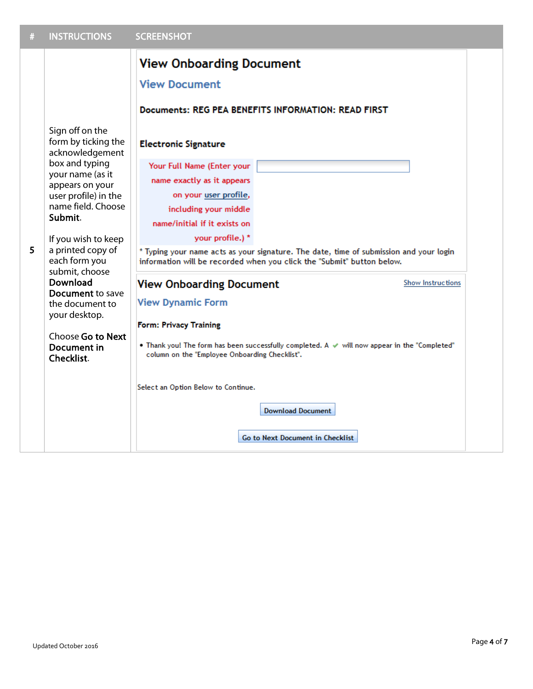| $\#$ | <b>INSTRUCTIONS</b>                                                                                                                                                                                                                                                                                                                                                                     | <b>SCREENSHOT</b>                                                                                                                                                                                                                                                                                                                                                                                                                                                                                                                                                                                                                                                                                                                                                                                                                                                       |
|------|-----------------------------------------------------------------------------------------------------------------------------------------------------------------------------------------------------------------------------------------------------------------------------------------------------------------------------------------------------------------------------------------|-------------------------------------------------------------------------------------------------------------------------------------------------------------------------------------------------------------------------------------------------------------------------------------------------------------------------------------------------------------------------------------------------------------------------------------------------------------------------------------------------------------------------------------------------------------------------------------------------------------------------------------------------------------------------------------------------------------------------------------------------------------------------------------------------------------------------------------------------------------------------|
| 5    | Sign off on the<br>form by ticking the<br>acknowledgement<br>box and typing<br>your name (as it<br>appears on your<br>user profile) in the<br>name field. Choose<br>Submit.<br>If you wish to keep<br>a printed copy of<br>each form you<br>submit, choose<br>Download<br>Document to save<br>the document to<br>your desktop.<br>Choose Go to Next<br><b>Document in</b><br>Checklist. | <b>View Onboarding Document</b><br><b>View Document</b><br>Documents: REG PEA BENEFITS INFORMATION: READ FIRST<br><b>Electronic Signature</b><br>Your Full Name (Enter your<br>name exactly as it appears<br>on your user profile,<br>including your middle<br>name/initial if it exists on<br>your profile.) *<br>* Typing your name acts as your signature. The date, time of submission and your login<br>information will be recorded when you click the "Submit" button below.<br>Show Instructions<br><b>View Onboarding Document</b><br><b>View Dynamic Form</b><br><b>Form: Privacy Training</b><br>• Thank you! The form has been successfully completed. A $\psi$ will now appear in the "Completed"<br>column on the "Employee Onboarding Checklist".<br>Select an Option Below to Continue.<br><b>Download Document</b><br>Go to Next Document in Checklist |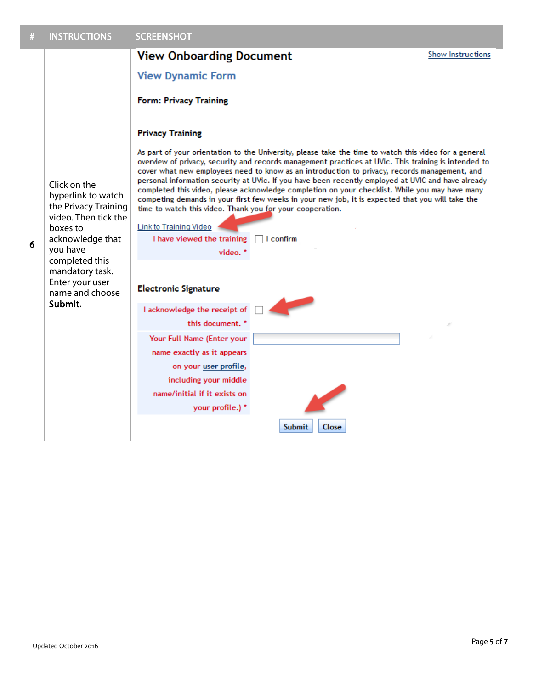|   | 11 1 J 1 1 1 0 C 1 1 U 1 1 J                                                                                                                                                                                         | JUNELI IJI IV I                                                                                                                     |                                                                                                                                                                                                                                                                                                                                                                                                                                                                                                                                                                                                                                        |                          |
|---|----------------------------------------------------------------------------------------------------------------------------------------------------------------------------------------------------------------------|-------------------------------------------------------------------------------------------------------------------------------------|----------------------------------------------------------------------------------------------------------------------------------------------------------------------------------------------------------------------------------------------------------------------------------------------------------------------------------------------------------------------------------------------------------------------------------------------------------------------------------------------------------------------------------------------------------------------------------------------------------------------------------------|--------------------------|
|   | Click on the<br>hyperlink to watch<br>the Privacy Training<br>video. Then tick the<br>boxes to<br>acknowledge that<br>you have<br>completed this<br>mandatory task.<br>Enter your user<br>name and choose<br>Submit. | <b>View Onboarding Document</b>                                                                                                     |                                                                                                                                                                                                                                                                                                                                                                                                                                                                                                                                                                                                                                        | <b>Show Instructions</b> |
|   |                                                                                                                                                                                                                      | <b>View Dynamic Form</b>                                                                                                            |                                                                                                                                                                                                                                                                                                                                                                                                                                                                                                                                                                                                                                        |                          |
|   |                                                                                                                                                                                                                      | <b>Form: Privacy Training</b>                                                                                                       |                                                                                                                                                                                                                                                                                                                                                                                                                                                                                                                                                                                                                                        |                          |
|   |                                                                                                                                                                                                                      | <b>Privacy Training</b>                                                                                                             |                                                                                                                                                                                                                                                                                                                                                                                                                                                                                                                                                                                                                                        |                          |
| 6 |                                                                                                                                                                                                                      | time to watch this video. Thank you for your cooperation.<br><b>Link to Training Video</b><br>I have viewed the training<br>video.* | As part of your orientation to the University, please take the time to watch this video for a general<br>overview of privacy, security and records management practices at UVic. This training is intended to<br>cover what new employees need to know as an introduction to privacy, records management, and<br>personal information security at UVic. If you have been recently employed at UVIC and have already<br>completed this video, please acknowledge completion on your checklist. While you may have many<br>competing demands in your first few weeks in your new job, it is expected that you will take the<br>I confirm |                          |
|   |                                                                                                                                                                                                                      | <b>Electronic Signature</b>                                                                                                         |                                                                                                                                                                                                                                                                                                                                                                                                                                                                                                                                                                                                                                        |                          |
|   |                                                                                                                                                                                                                      | I acknowledge the receipt of<br>this document. *                                                                                    |                                                                                                                                                                                                                                                                                                                                                                                                                                                                                                                                                                                                                                        |                          |
|   |                                                                                                                                                                                                                      | Your Full Name (Enter your                                                                                                          |                                                                                                                                                                                                                                                                                                                                                                                                                                                                                                                                                                                                                                        |                          |
|   |                                                                                                                                                                                                                      | name exactly as it appears                                                                                                          |                                                                                                                                                                                                                                                                                                                                                                                                                                                                                                                                                                                                                                        |                          |
|   |                                                                                                                                                                                                                      | on your user profile,                                                                                                               |                                                                                                                                                                                                                                                                                                                                                                                                                                                                                                                                                                                                                                        |                          |
|   |                                                                                                                                                                                                                      | including your middle                                                                                                               |                                                                                                                                                                                                                                                                                                                                                                                                                                                                                                                                                                                                                                        |                          |
|   |                                                                                                                                                                                                                      | name/initial if it exists on<br>your profile.) *                                                                                    |                                                                                                                                                                                                                                                                                                                                                                                                                                                                                                                                                                                                                                        |                          |
|   |                                                                                                                                                                                                                      |                                                                                                                                     | <b>Submit</b><br>Close                                                                                                                                                                                                                                                                                                                                                                                                                                                                                                                                                                                                                 |                          |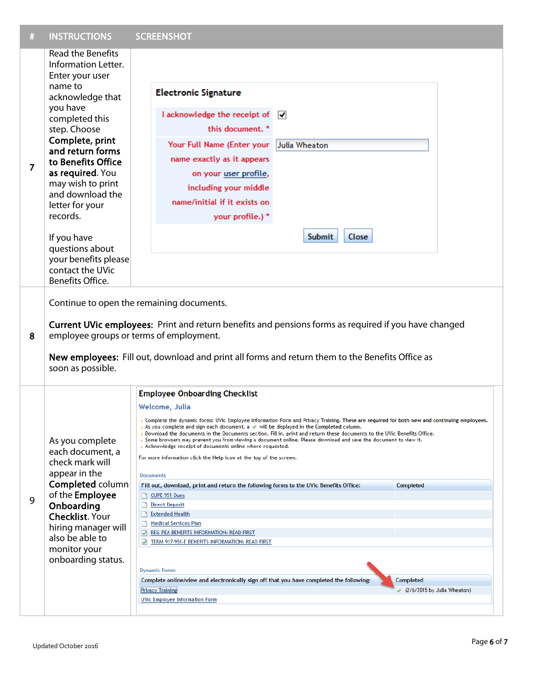| #              | <b>INSTRUCTIONS</b>                                                                                                                                                                                                                                                                                                                                                                                        | <b>SCREENSHOT</b>                                                                                                                                                                                                                                                                                                                                                                                                                                                                                                                                                                                                                                                                                                                                                                                                                                                                                                                                                                                                                                                                                                                                                                                                                                      |  |
|----------------|------------------------------------------------------------------------------------------------------------------------------------------------------------------------------------------------------------------------------------------------------------------------------------------------------------------------------------------------------------------------------------------------------------|--------------------------------------------------------------------------------------------------------------------------------------------------------------------------------------------------------------------------------------------------------------------------------------------------------------------------------------------------------------------------------------------------------------------------------------------------------------------------------------------------------------------------------------------------------------------------------------------------------------------------------------------------------------------------------------------------------------------------------------------------------------------------------------------------------------------------------------------------------------------------------------------------------------------------------------------------------------------------------------------------------------------------------------------------------------------------------------------------------------------------------------------------------------------------------------------------------------------------------------------------------|--|
| $\overline{7}$ | <b>Read the Benefits</b><br>Information Letter.<br>Enter your user<br>name to<br>acknowledge that<br>you have<br>completed this<br>step. Choose<br>Complete, print<br>and return forms<br>to Benefits Office<br>as required. You<br>may wish to print<br>and download the<br>letter for your<br>records.<br>If you have<br>questions about<br>your benefits please<br>contact the UVic<br>Benefits Office. | <b>Electronic Signature</b><br>I acknowledge the receipt of v<br>this document. *<br>Your Full Name (Enter your<br>Julia Wheaton<br>name exactly as it appears<br>on your user profile,<br>including your middle<br>name/initial if it exists on<br>your profile.) *<br><b>Submit</b><br>Close                                                                                                                                                                                                                                                                                                                                                                                                                                                                                                                                                                                                                                                                                                                                                                                                                                                                                                                                                         |  |
| 8              | Continue to open the remaining documents.<br>Current UVic employees: Print and return benefits and pensions forms as required if you have changed<br>employee groups or terms of employment.<br>New employees: Fill out, download and print all forms and return them to the Benefits Office as<br>soon as possible.                                                                                       |                                                                                                                                                                                                                                                                                                                                                                                                                                                                                                                                                                                                                                                                                                                                                                                                                                                                                                                                                                                                                                                                                                                                                                                                                                                        |  |
| 9              | As you complete<br>each document, a<br>check mark will<br>appear in the<br>Completed column<br>of the <b>Employee</b><br>Onboarding<br><b>Checklist. Your</b><br>hiring manager will<br>also be able to<br>monitor your<br>onboarding status.                                                                                                                                                              | <b>Employee Onboarding Checklist</b><br>Welcome, Julia<br>. Complete the dynamic forms: UVic Employee Information Form and Privacy Training. These are required for both new and continuing employees.<br>. As you complete and sign each document, $a \vee$ will be displayed in the Completed column.<br>. Download the documents in the Documents section. Fill in, print and return these documents to the UVic Benefits Office.<br>. Some browsers may prevent you from viewing a document online. Please download and save the document to view it.<br>. Acknowledge receipt of documents online where requested.<br>For more information click the Help icon at the top of the screen.<br><b>Documents</b><br>Fill out, download, print and return the following forms to the UVic Benefits Office:<br>Completed<br>CUPE 951 Dues<br><b>Direct Deposit</b><br><b>Extended Health</b><br><b>Medical Services Plan</b><br>REG PEA BENEFITS INFORMATION: READ FIRST<br>TERM 917-951-E BENEFITS INFORMATION: READ FIRST<br><b>Dynamic Forms</b><br>Complete online/view and electronically sign off that you have completed the following:<br>Completed<br>Privacy Training<br>(2/6/2015 by Julia Wheaton)<br><b>UVic Employee Information Form</b> |  |